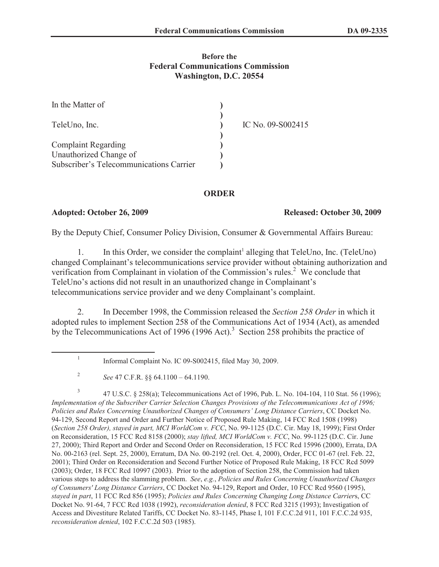# **Before the Federal Communications Commission Washington, D.C. 20554**

| In the Matter of                        |                   |
|-----------------------------------------|-------------------|
| TeleUno, Inc.                           | IC No. 09-S002415 |
| <b>Complaint Regarding</b>              |                   |
| Unauthorized Change of                  |                   |
| Subscriber's Telecommunications Carrier |                   |

# **ORDER**

### **Adopted: October 26, 2009 Released: October 30, 2009**

By the Deputy Chief, Consumer Policy Division, Consumer & Governmental Affairs Bureau:

1. In this Order, we consider the complaint<sup>1</sup> alleging that TeleUno, Inc. (TeleUno) changed Complainant's telecommunications service provider without obtaining authorization and verification from Complainant in violation of the Commission's rules.<sup>2</sup> We conclude that TeleUno's actions did not result in an unauthorized change in Complainant's telecommunications service provider and we deny Complainant's complaint.

2. In December 1998, the Commission released the *Section 258 Order* in which it adopted rules to implement Section 258 of the Communications Act of 1934 (Act), as amended by the Telecommunications Act of 1996 (1996 Act).<sup>3</sup> Section 258 prohibits the practice of

3 47 U.S.C. § 258(a); Telecommunications Act of 1996, Pub. L. No. 104-104, 110 Stat. 56 (1996); *Implementation of the Subscriber Carrier Selection Changes Provisions of the Telecommunications Act of 1996; Policies and Rules Concerning Unauthorized Changes of Consumers' Long Distance Carriers*, CC Docket No. 94-129, Second Report and Order and Further Notice of Proposed Rule Making, 14 FCC Rcd 1508 (1998) (*Section 258 Order), stayed in part, MCI WorldCom v. FCC*, No. 99-1125 (D.C. Cir. May 18, 1999); First Order on Reconsideration, 15 FCC Rcd 8158 (2000); *stay lifted, MCI WorldCom v. FCC*, No. 99-1125 (D.C. Cir. June 27, 2000); Third Report and Order and Second Order on Reconsideration, 15 FCC Rcd 15996 (2000), Errata, DA No. 00-2163 (rel. Sept. 25, 2000), Erratum, DA No. 00-2192 (rel. Oct. 4, 2000), Order, FCC 01-67 (rel. Feb. 22, 2001); Third Order on Reconsideration and Second Further Notice of Proposed Rule Making, 18 FCC Rcd 5099 (2003); Order, 18 FCC Rcd 10997 (2003). Prior to the adoption of Section 258, the Commission had taken various steps to address the slamming problem. *See*, *e.g.*, *Policies and Rules Concerning Unauthorized Changes of Consumers' Long Distance Carriers*, CC Docket No. 94-129, Report and Order, 10 FCC Rcd 9560 (1995), *stayed in part*, 11 FCC Rcd 856 (1995); *Policies and Rules Concerning Changing Long Distance Carrier*s, CC Docket No. 91-64, 7 FCC Rcd 1038 (1992), *reconsideration denied*, 8 FCC Rcd 3215 (1993); Investigation of Access and Divestiture Related Tariffs, CC Docket No. 83-1145, Phase I, 101 F.C.C.2d 911, 101 F.C.C.2d 935, *reconsideration denied*, 102 F.C.C.2d 503 (1985).

<sup>1</sup> Informal Complaint No. IC 09-S002415, filed May 30, 2009.

<sup>2</sup> *See* 47 C.F.R. §§ 64.1100 – 64.1190.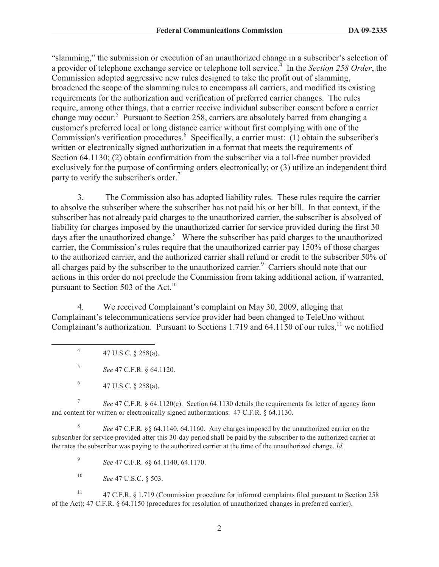"slamming," the submission or execution of an unauthorized change in a subscriber's selection of a provider of telephone exchange service or telephone toll service.<sup>4</sup> In the *Section 258 Order*, the Commission adopted aggressive new rules designed to take the profit out of slamming, broadened the scope of the slamming rules to encompass all carriers, and modified its existing requirements for the authorization and verification of preferred carrier changes. The rules require, among other things, that a carrier receive individual subscriber consent before a carrier change may occur.<sup>5</sup> Pursuant to Section 258, carriers are absolutely barred from changing a customer's preferred local or long distance carrier without first complying with one of the Commission's verification procedures.<sup>6</sup> Specifically, a carrier must: (1) obtain the subscriber's written or electronically signed authorization in a format that meets the requirements of Section 64.1130; (2) obtain confirmation from the subscriber via a toll-free number provided exclusively for the purpose of confirming orders electronically; or (3) utilize an independent third party to verify the subscriber's order.<sup>7</sup>

3. The Commission also has adopted liability rules. These rules require the carrier to absolve the subscriber where the subscriber has not paid his or her bill. In that context, if the subscriber has not already paid charges to the unauthorized carrier, the subscriber is absolved of liability for charges imposed by the unauthorized carrier for service provided during the first 30 days after the unauthorized change.<sup>8</sup> Where the subscriber has paid charges to the unauthorized carrier, the Commission's rules require that the unauthorized carrier pay 150% of those charges to the authorized carrier, and the authorized carrier shall refund or credit to the subscriber 50% of all charges paid by the subscriber to the unauthorized carrier.<sup>9</sup> Carriers should note that our actions in this order do not preclude the Commission from taking additional action, if warranted, pursuant to Section 503 of the Act.<sup>10</sup>

4. We received Complainant's complaint on May 30, 2009, alleging that Complainant's telecommunications service provider had been changed to TeleUno without Complainant's authorization. Pursuant to Sections 1.719 and  $64.1150$  of our rules,<sup>11</sup> we notified

7 *See* 47 C.F.R. § 64.1120(c). Section 64.1130 details the requirements for letter of agency form and content for written or electronically signed authorizations. 47 C.F.R. § 64.1130.

8 *See* 47 C.F.R. §§ 64.1140, 64.1160. Any charges imposed by the unauthorized carrier on the subscriber for service provided after this 30-day period shall be paid by the subscriber to the authorized carrier at the rates the subscriber was paying to the authorized carrier at the time of the unauthorized change. *Id.*

9 *See* 47 C.F.R. §§ 64.1140, 64.1170.

<sup>10</sup> *See* 47 U.S.C. § 503.

<sup>11</sup> 47 C.F.R. § 1.719 (Commission procedure for informal complaints filed pursuant to Section 258 of the Act); 47 C.F.R. § 64.1150 (procedures for resolution of unauthorized changes in preferred carrier).

<sup>4</sup> 47 U.S.C. § 258(a).

<sup>5</sup> *See* 47 C.F.R. § 64.1120.

<sup>6</sup> 47 U.S.C. § 258(a).